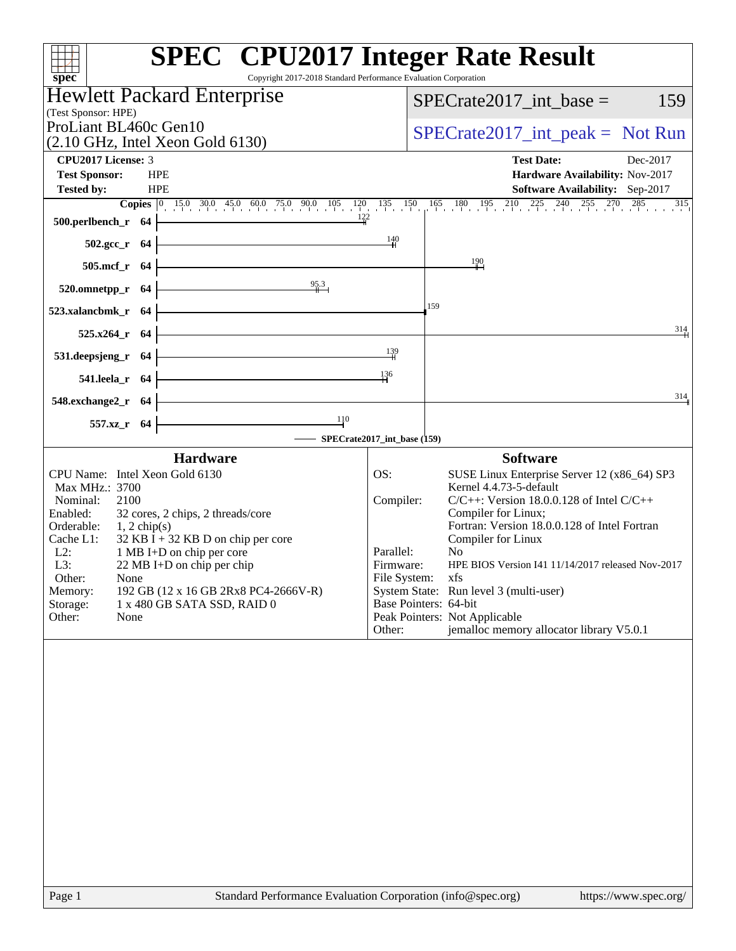| Copyright 2017-2018 Standard Performance Evaluation Corporation<br>spec <sup>®</sup>                                                                                                                                                                                                                                                                                                                                                        | <b>SPEC<sup>®</sup></b> CPU2017 Integer Rate Result                                                                                                                                                                                                                                                                                                                                                                                                                                                                                         |          |  |  |
|---------------------------------------------------------------------------------------------------------------------------------------------------------------------------------------------------------------------------------------------------------------------------------------------------------------------------------------------------------------------------------------------------------------------------------------------|---------------------------------------------------------------------------------------------------------------------------------------------------------------------------------------------------------------------------------------------------------------------------------------------------------------------------------------------------------------------------------------------------------------------------------------------------------------------------------------------------------------------------------------------|----------|--|--|
| <b>Hewlett Packard Enterprise</b><br>(Test Sponsor: HPE)                                                                                                                                                                                                                                                                                                                                                                                    | $SPECrate2017\_int\_base =$                                                                                                                                                                                                                                                                                                                                                                                                                                                                                                                 | 159      |  |  |
| ProLiant BL460c Gen10                                                                                                                                                                                                                                                                                                                                                                                                                       | $SPECrate2017\_int\_peak = Not Run$                                                                                                                                                                                                                                                                                                                                                                                                                                                                                                         |          |  |  |
| $(2.10 \text{ GHz}, \text{Intel Xeon Gold } 6130)$                                                                                                                                                                                                                                                                                                                                                                                          |                                                                                                                                                                                                                                                                                                                                                                                                                                                                                                                                             |          |  |  |
| <b>CPU2017 License: 3</b><br><b>Test Sponsor:</b><br><b>HPE</b>                                                                                                                                                                                                                                                                                                                                                                             | <b>Test Date:</b><br>Hardware Availability: Nov-2017                                                                                                                                                                                                                                                                                                                                                                                                                                                                                        | Dec-2017 |  |  |
| <b>Tested by:</b><br><b>HPE</b>                                                                                                                                                                                                                                                                                                                                                                                                             | <b>Software Availability:</b> Sep-2017                                                                                                                                                                                                                                                                                                                                                                                                                                                                                                      |          |  |  |
|                                                                                                                                                                                                                                                                                                                                                                                                                                             |                                                                                                                                                                                                                                                                                                                                                                                                                                                                                                                                             |          |  |  |
| 500.perlbench_r 64                                                                                                                                                                                                                                                                                                                                                                                                                          |                                                                                                                                                                                                                                                                                                                                                                                                                                                                                                                                             |          |  |  |
| $502.\text{gcc}_r$ 64                                                                                                                                                                                                                                                                                                                                                                                                                       | $\frac{140}{ }$                                                                                                                                                                                                                                                                                                                                                                                                                                                                                                                             |          |  |  |
| $505.\text{mcf}_r$ 64                                                                                                                                                                                                                                                                                                                                                                                                                       | $\frac{190}{ }$                                                                                                                                                                                                                                                                                                                                                                                                                                                                                                                             |          |  |  |
| 95.3<br>$520.0$ mnetpp_r 64                                                                                                                                                                                                                                                                                                                                                                                                                 |                                                                                                                                                                                                                                                                                                                                                                                                                                                                                                                                             |          |  |  |
| 523.xalancbmk_r 64                                                                                                                                                                                                                                                                                                                                                                                                                          | 159                                                                                                                                                                                                                                                                                                                                                                                                                                                                                                                                         |          |  |  |
| $525.x264_r$ 64                                                                                                                                                                                                                                                                                                                                                                                                                             |                                                                                                                                                                                                                                                                                                                                                                                                                                                                                                                                             | 314      |  |  |
| <u> 1980 - Johann Barn, mars ann an t-Alban an t-Alban ann an t-Alban ann an t-Alban ann an t-Alban ann an t-Alba</u><br>531.deepsjeng_r 64                                                                                                                                                                                                                                                                                                 | 139                                                                                                                                                                                                                                                                                                                                                                                                                                                                                                                                         |          |  |  |
| <u> 1989 - Johann Barbara, martxa alemaniar a</u><br>541.leela_r 64                                                                                                                                                                                                                                                                                                                                                                         | 136                                                                                                                                                                                                                                                                                                                                                                                                                                                                                                                                         |          |  |  |
| <u> 1989 - Johann Barbara, martxa alemaniar a</u><br>548.exchange2_r 64                                                                                                                                                                                                                                                                                                                                                                     |                                                                                                                                                                                                                                                                                                                                                                                                                                                                                                                                             | 314      |  |  |
| <u> 1989 - Johann Barbara, martxa a</u><br>$\frac{110}{ }$<br>557.xz_r 64                                                                                                                                                                                                                                                                                                                                                                   |                                                                                                                                                                                                                                                                                                                                                                                                                                                                                                                                             |          |  |  |
| SPECrate2017_int_base (159)                                                                                                                                                                                                                                                                                                                                                                                                                 |                                                                                                                                                                                                                                                                                                                                                                                                                                                                                                                                             |          |  |  |
| <b>Hardware</b><br>CPU Name: Intel Xeon Gold 6130<br>Max MHz.: 3700<br>Nominal:<br>2100<br>Enabled:<br>32 cores, 2 chips, 2 threads/core<br>Orderable:<br>$1, 2$ chip(s)<br>$32$ KB I + 32 KB D on chip per core<br>Cache L1:<br>$L2$ :<br>1 MB I+D on chip per core<br>22 MB I+D on chip per chip<br>L3:<br>Other:<br>None<br>192 GB (12 x 16 GB 2Rx8 PC4-2666V-R)<br>Memory:<br>Storage:<br>1 x 480 GB SATA SSD, RAID 0<br>Other:<br>None | <b>Software</b><br>SUSE Linux Enterprise Server 12 (x86_64) SP3<br>OS:<br>Kernel 4.4.73-5-default<br>$C/C++$ : Version 18.0.0.128 of Intel $C/C++$<br>Compiler:<br>Compiler for Linux;<br>Fortran: Version 18.0.0.128 of Intel Fortran<br>Compiler for Linux<br>Parallel:<br>N <sub>0</sub><br>Firmware:<br>HPE BIOS Version I41 11/14/2017 released Nov-2017<br>File System: xfs<br>System State: Run level 3 (multi-user)<br>Base Pointers: 64-bit<br>Peak Pointers: Not Applicable<br>jemalloc memory allocator library V5.0.1<br>Other: |          |  |  |
|                                                                                                                                                                                                                                                                                                                                                                                                                                             |                                                                                                                                                                                                                                                                                                                                                                                                                                                                                                                                             |          |  |  |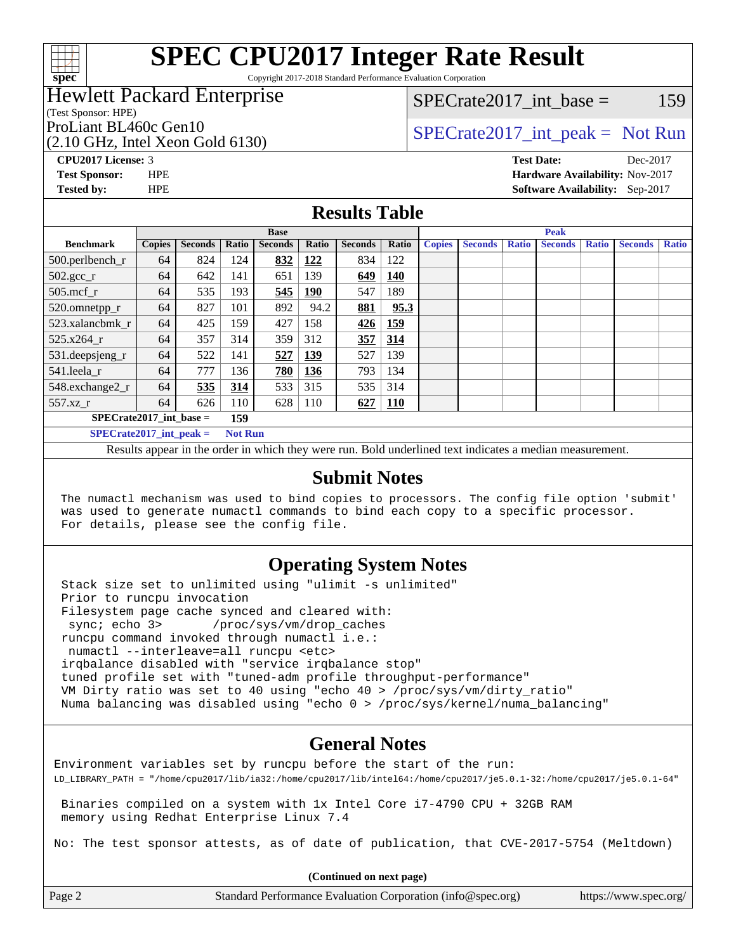

Copyright 2017-2018 Standard Performance Evaluation Corporation

### Hewlett Packard Enterprise

 $SPECTate2017\_int\_base = 159$ 

### (Test Sponsor: HPE)

(2.10 GHz, Intel Xeon Gold 6130)

ProLiant BL460c Gen10  $SPECTA 61460$  [SPECrate2017\\_int\\_peak =](http://www.spec.org/auto/cpu2017/Docs/result-fields.html#SPECrate2017intpeak) Not Run

# **[CPU2017 License:](http://www.spec.org/auto/cpu2017/Docs/result-fields.html#CPU2017License)** 3 **[Test Date:](http://www.spec.org/auto/cpu2017/Docs/result-fields.html#TestDate)** Dec-2017

**[Test Sponsor:](http://www.spec.org/auto/cpu2017/Docs/result-fields.html#TestSponsor)** HPE **[Hardware Availability:](http://www.spec.org/auto/cpu2017/Docs/result-fields.html#HardwareAvailability)** Nov-2017 **[Tested by:](http://www.spec.org/auto/cpu2017/Docs/result-fields.html#Testedby)** HPE **[Software Availability:](http://www.spec.org/auto/cpu2017/Docs/result-fields.html#SoftwareAvailability)** Sep-2017

#### **[Results Table](http://www.spec.org/auto/cpu2017/Docs/result-fields.html#ResultsTable)**

|                                               | <b>Base</b>   |                |       |                |       |                | <b>Peak</b> |               |                |              |                |              |                |              |
|-----------------------------------------------|---------------|----------------|-------|----------------|-------|----------------|-------------|---------------|----------------|--------------|----------------|--------------|----------------|--------------|
| <b>Benchmark</b>                              | <b>Copies</b> | <b>Seconds</b> | Ratio | <b>Seconds</b> | Ratio | <b>Seconds</b> | Ratio       | <b>Copies</b> | <b>Seconds</b> | <b>Ratio</b> | <b>Seconds</b> | <b>Ratio</b> | <b>Seconds</b> | <b>Ratio</b> |
| $500.$ perlbench_r                            | 64            | 824            | 124   | 832            | 122   | 834            | 122         |               |                |              |                |              |                |              |
| $502.\text{sec}$ <sub>r</sub>                 | 64            | 642            | 141   | 651            | 139   | 649            | 140         |               |                |              |                |              |                |              |
| $505$ .mcf $r$                                | 64            | 535            | 193   | 545            | 190   | 547            | 189         |               |                |              |                |              |                |              |
| 520.omnetpp_r                                 | 64            | 827            | 101   | 892            | 94.2  | 881            | 95.3        |               |                |              |                |              |                |              |
| 523.xalancbmk r                               | 64            | 425            | 159   | 427            | 158   | 426            | 159         |               |                |              |                |              |                |              |
| 525.x264 r                                    | 64            | 357            | 314   | 359            | 312   | 357            | 314         |               |                |              |                |              |                |              |
| 531.deepsjeng_r                               | 64            | 522            | 141   | 527            | 139   | 527            | 139         |               |                |              |                |              |                |              |
| 541.leela r                                   | 64            | 777            | 136   | 780            | 136   | 793            | 134         |               |                |              |                |              |                |              |
| 548.exchange2_r                               | 64            | 535            | 314   | 533            | 315   | 535            | 314         |               |                |              |                |              |                |              |
| 557.xz r                                      | 64            | 626            | 110   | 628            | 110   | 627            | <b>110</b>  |               |                |              |                |              |                |              |
| $SPECrate2017$ int base =<br>159              |               |                |       |                |       |                |             |               |                |              |                |              |                |              |
| $SPECrate2017\_int\_peak =$<br><b>Not Run</b> |               |                |       |                |       |                |             |               |                |              |                |              |                |              |

Results appear in the [order in which they were run](http://www.spec.org/auto/cpu2017/Docs/result-fields.html#RunOrder). Bold underlined text [indicates a median measurement.](http://www.spec.org/auto/cpu2017/Docs/result-fields.html#Median)

#### **[Submit Notes](http://www.spec.org/auto/cpu2017/Docs/result-fields.html#SubmitNotes)**

 The numactl mechanism was used to bind copies to processors. The config file option 'submit' was used to generate numactl commands to bind each copy to a specific processor. For details, please see the config file.

### **[Operating System Notes](http://www.spec.org/auto/cpu2017/Docs/result-fields.html#OperatingSystemNotes)**

 Stack size set to unlimited using "ulimit -s unlimited" Prior to runcpu invocation Filesystem page cache synced and cleared with: sync; echo 3> /proc/sys/vm/drop\_caches runcpu command invoked through numactl i.e.: numactl --interleave=all runcpu <etc> irqbalance disabled with "service irqbalance stop" tuned profile set with "tuned-adm profile throughput-performance" VM Dirty ratio was set to 40 using "echo 40 > /proc/sys/vm/dirty\_ratio" Numa balancing was disabled using "echo 0 > /proc/sys/kernel/numa\_balancing"

### **[General Notes](http://www.spec.org/auto/cpu2017/Docs/result-fields.html#GeneralNotes)**

Environment variables set by runcpu before the start of the run: LD\_LIBRARY\_PATH = "/home/cpu2017/lib/ia32:/home/cpu2017/lib/intel64:/home/cpu2017/je5.0.1-32:/home/cpu2017/je5.0.1-64"

 Binaries compiled on a system with 1x Intel Core i7-4790 CPU + 32GB RAM memory using Redhat Enterprise Linux 7.4

No: The test sponsor attests, as of date of publication, that CVE-2017-5754 (Meltdown)

**(Continued on next page)**

| Page |  |
|------|--|
|      |  |

Page 2 Standard Performance Evaluation Corporation [\(info@spec.org\)](mailto:info@spec.org) <https://www.spec.org/>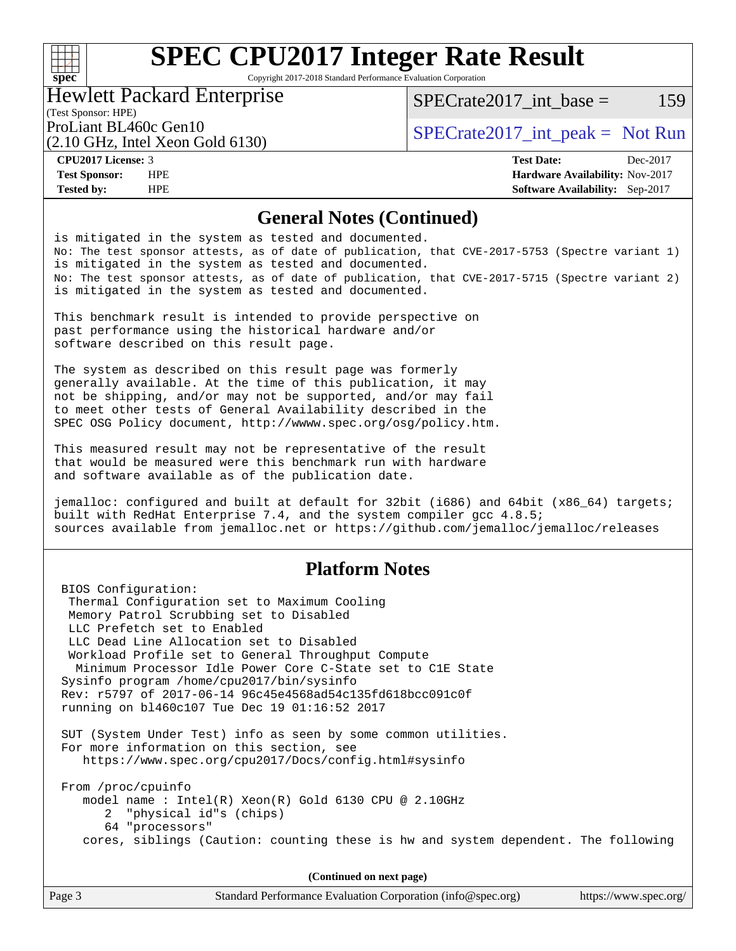### $+\!\!+\!\!$ **[spec](http://www.spec.org/)**

# **[SPEC CPU2017 Integer Rate Result](http://www.spec.org/auto/cpu2017/Docs/result-fields.html#SPECCPU2017IntegerRateResult)**

Copyright 2017-2018 Standard Performance Evaluation Corporation

#### Hewlett Packard Enterprise

 $SPECTate2017\_int\_base = 159$ 

#### (Test Sponsor: HPE)

(2.10 GHz, Intel Xeon Gold 6130)

ProLiant BL460c Gen10  $SPECTA 61460$  [SPECrate2017\\_int\\_peak =](http://www.spec.org/auto/cpu2017/Docs/result-fields.html#SPECrate2017intpeak) Not Run

**[Tested by:](http://www.spec.org/auto/cpu2017/Docs/result-fields.html#Testedby)** HPE **[Software Availability:](http://www.spec.org/auto/cpu2017/Docs/result-fields.html#SoftwareAvailability)** Sep-2017

**[CPU2017 License:](http://www.spec.org/auto/cpu2017/Docs/result-fields.html#CPU2017License)** 3 **[Test Date:](http://www.spec.org/auto/cpu2017/Docs/result-fields.html#TestDate)** Dec-2017 **[Test Sponsor:](http://www.spec.org/auto/cpu2017/Docs/result-fields.html#TestSponsor)** HPE **[Hardware Availability:](http://www.spec.org/auto/cpu2017/Docs/result-fields.html#HardwareAvailability)** Nov-2017

#### **[General Notes \(Continued\)](http://www.spec.org/auto/cpu2017/Docs/result-fields.html#GeneralNotes)**

is mitigated in the system as tested and documented. No: The test sponsor attests, as of date of publication, that CVE-2017-5753 (Spectre variant 1) is mitigated in the system as tested and documented. No: The test sponsor attests, as of date of publication, that CVE-2017-5715 (Spectre variant 2) is mitigated in the system as tested and documented.

This benchmark result is intended to provide perspective on past performance using the historical hardware and/or software described on this result page.

The system as described on this result page was formerly generally available. At the time of this publication, it may not be shipping, and/or may not be supported, and/or may fail to meet other tests of General Availability described in the SPEC OSG Policy document, <http://wwww.spec.org/osg/policy.htm.>

This measured result may not be representative of the result that would be measured were this benchmark run with hardware and software available as of the publication date.

jemalloc: configured and built at default for 32bit (i686) and 64bit (x86\_64) targets; built with RedHat Enterprise 7.4, and the system compiler gcc 4.8.5; sources available from jemalloc.net or <https://github.com/jemalloc/jemalloc/releases>

### **[Platform Notes](http://www.spec.org/auto/cpu2017/Docs/result-fields.html#PlatformNotes)**

 BIOS Configuration: Thermal Configuration set to Maximum Cooling Memory Patrol Scrubbing set to Disabled LLC Prefetch set to Enabled LLC Dead Line Allocation set to Disabled Workload Profile set to General Throughput Compute Minimum Processor Idle Power Core C-State set to C1E State Sysinfo program /home/cpu2017/bin/sysinfo Rev: r5797 of 2017-06-14 96c45e4568ad54c135fd618bcc091c0f running on bl460c107 Tue Dec 19 01:16:52 2017 SUT (System Under Test) info as seen by some common utilities. For more information on this section, see <https://www.spec.org/cpu2017/Docs/config.html#sysinfo> From /proc/cpuinfo model name : Intel(R) Xeon(R) Gold 6130 CPU @ 2.10GHz 2 "physical id"s (chips) 64 "processors" cores, siblings (Caution: counting these is hw and system dependent. The following

**(Continued on next page)**

| Page 3 | Standard Performance Evaluation Corporation (info@spec.org) | https://www.spec.org/ |
|--------|-------------------------------------------------------------|-----------------------|
|--------|-------------------------------------------------------------|-----------------------|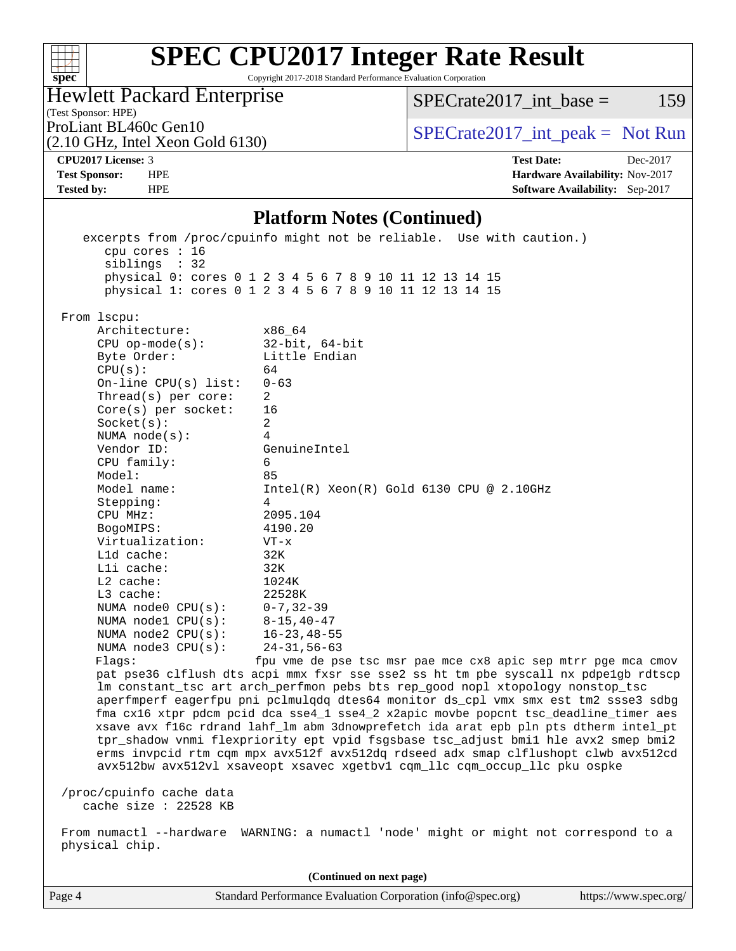| Q)<br>ŧ<br>ĉ.<br>U<br>Ų |  |  |  |  |  |
|-------------------------|--|--|--|--|--|

Copyright 2017-2018 Standard Performance Evaluation Corporation

| <b>Hewlett Packard Enterprise</b> |  |
|-----------------------------------|--|
| (Test Sponsor: HPE)               |  |

 $SPECTate2017\_int\_base = 159$ 

(2.10 GHz, Intel Xeon Gold 6130)

ProLiant BL460c Gen10  $SPECTA 61460$   $SPECTA 61300$   $SPECTA 61200$ 

**[CPU2017 License:](http://www.spec.org/auto/cpu2017/Docs/result-fields.html#CPU2017License)** 3 **[Test Date:](http://www.spec.org/auto/cpu2017/Docs/result-fields.html#TestDate)** Dec-2017 **[Test Sponsor:](http://www.spec.org/auto/cpu2017/Docs/result-fields.html#TestSponsor)** HPE **[Hardware Availability:](http://www.spec.org/auto/cpu2017/Docs/result-fields.html#HardwareAvailability)** Nov-2017 **[Tested by:](http://www.spec.org/auto/cpu2017/Docs/result-fields.html#Testedby)** HPE **[Software Availability:](http://www.spec.org/auto/cpu2017/Docs/result-fields.html#SoftwareAvailability)** Sep-2017

#### **[Platform Notes \(Continued\)](http://www.spec.org/auto/cpu2017/Docs/result-fields.html#PlatformNotes)**

 excerpts from /proc/cpuinfo might not be reliable. Use with caution.) cpu cores : 16 siblings : 32 physical 0: cores 0 1 2 3 4 5 6 7 8 9 10 11 12 13 14 15 physical 1: cores 0 1 2 3 4 5 6 7 8 9 10 11 12 13 14 15 From lscpu: Architecture: x86\_64 CPU op-mode(s): 32-bit, 64-bit Byte Order: Little Endian  $CPU(s):$  64 On-line CPU(s) list: 0-63 Thread(s) per core: 2 Core(s) per socket: 16 Socket(s): 2 NUMA node(s): 4 Vendor ID: GenuineIntel CPU family: 6 Model: 85 Model name: Intel(R) Xeon(R) Gold 6130 CPU @ 2.10GHz Stepping: 4 CPU MHz: 2095.104 BogoMIPS: 4190.20 Virtualization: VT-x L1d cache: 32K L1i cache: 32K<br>
L2 cache: 1024K  $L2$  cache: L3 cache: 22528K NUMA node0 CPU(s): 0-7,32-39 NUMA node1 CPU(s): 8-15,40-47 NUMA node2 CPU(s): 16-23,48-55 NUMA node3 CPU(s): 24-31,56-63 Flags: fpu vme de pse tsc msr pae mce cx8 apic sep mtrr pge mca cmov pat pse36 clflush dts acpi mmx fxsr sse sse2 ss ht tm pbe syscall nx pdpe1gb rdtscp lm constant\_tsc art arch\_perfmon pebs bts rep\_good nopl xtopology nonstop\_tsc aperfmperf eagerfpu pni pclmulqdq dtes64 monitor ds\_cpl vmx smx est tm2 ssse3 sdbg fma cx16 xtpr pdcm pcid dca sse4\_1 sse4\_2 x2apic movbe popcnt tsc\_deadline\_timer aes xsave avx f16c rdrand lahf\_lm abm 3dnowprefetch ida arat epb pln pts dtherm intel\_pt tpr\_shadow vnmi flexpriority ept vpid fsgsbase tsc\_adjust bmi1 hle avx2 smep bmi2 erms invpcid rtm cqm mpx avx512f avx512dq rdseed adx smap clflushopt clwb avx512cd avx512bw avx512vl xsaveopt xsavec xgetbv1 cqm\_llc cqm\_occup\_llc pku ospke /proc/cpuinfo cache data cache size : 22528 KB From numactl --hardware WARNING: a numactl 'node' might or might not correspond to a physical chip.

Page 4 Standard Performance Evaluation Corporation [\(info@spec.org\)](mailto:info@spec.org) <https://www.spec.org/> **(Continued on next page)**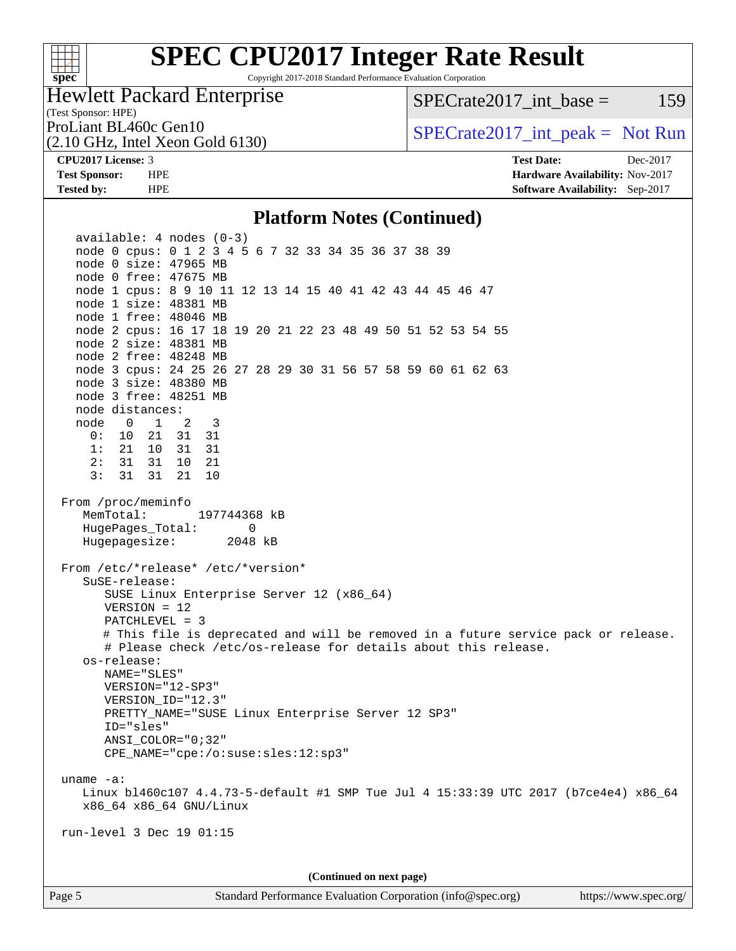

Copyright 2017-2018 Standard Performance Evaluation Corporation

### Hewlett Packard Enterprise

(2.10 GHz, Intel Xeon Gold 6130)

 $SPECTate2017\_int\_base = 159$ 

(Test Sponsor: HPE)

ProLiant BL460c Gen10  $SPECTA 6130$   $SPECTA 6130$   $SPECTA 6130$ 

**[CPU2017 License:](http://www.spec.org/auto/cpu2017/Docs/result-fields.html#CPU2017License)** 3 **[Test Date:](http://www.spec.org/auto/cpu2017/Docs/result-fields.html#TestDate)** Dec-2017 **[Test Sponsor:](http://www.spec.org/auto/cpu2017/Docs/result-fields.html#TestSponsor)** HPE **[Hardware Availability:](http://www.spec.org/auto/cpu2017/Docs/result-fields.html#HardwareAvailability)** Nov-2017 **[Tested by:](http://www.spec.org/auto/cpu2017/Docs/result-fields.html#Testedby)** HPE **[Software Availability:](http://www.spec.org/auto/cpu2017/Docs/result-fields.html#SoftwareAvailability)** Sep-2017

#### **[Platform Notes \(Continued\)](http://www.spec.org/auto/cpu2017/Docs/result-fields.html#PlatformNotes)**

 available: 4 nodes (0-3) node 0 cpus: 0 1 2 3 4 5 6 7 32 33 34 35 36 37 38 39 node 0 size: 47965 MB node 0 free: 47675 MB node 1 cpus: 8 9 10 11 12 13 14 15 40 41 42 43 44 45 46 47 node 1 size: 48381 MB node 1 free: 48046 MB node 2 cpus: 16 17 18 19 20 21 22 23 48 49 50 51 52 53 54 55 node 2 size: 48381 MB node 2 free: 48248 MB node 3 cpus: 24 25 26 27 28 29 30 31 56 57 58 59 60 61 62 63 node 3 size: 48380 MB node 3 free: 48251 MB node distances: node 0 1 2 3 0: 10 21 31 31 1: 21 10 31 31 2: 31 31 10 21 3: 31 31 21 10 From /proc/meminfo MemTotal: 197744368 kB HugePages\_Total: 0 Hugepagesize: 2048 kB From /etc/\*release\* /etc/\*version\* SuSE-release: SUSE Linux Enterprise Server 12 (x86\_64) VERSION = 12 PATCHLEVEL = 3 # This file is deprecated and will be removed in a future service pack or release. # Please check /etc/os-release for details about this release. os-release: NAME="SLES" VERSION="12-SP3" VERSION\_ID="12.3" PRETTY\_NAME="SUSE Linux Enterprise Server 12 SP3" ID="sles" ANSI\_COLOR="0;32" CPE\_NAME="cpe:/o:suse:sles:12:sp3" uname -a: Linux bl460c107 4.4.73-5-default #1 SMP Tue Jul 4 15:33:39 UTC 2017 (b7ce4e4) x86\_64 x86\_64 x86\_64 GNU/Linux run-level 3 Dec 19 01:15 **(Continued on next page)**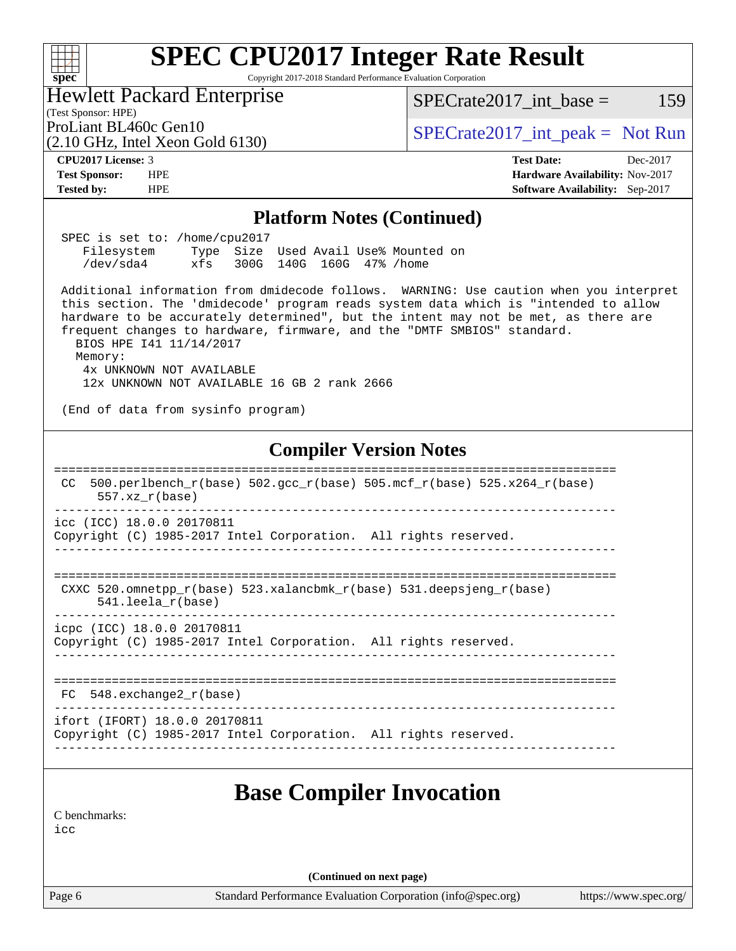#### **[SPEC CPU2017 Integer Rate Result](http://www.spec.org/auto/cpu2017/Docs/result-fields.html#SPECCPU2017IntegerRateResult)**  $+\hskip -1.5pt +\hskip -1.5pt +$ **[spec](http://www.spec.org/)** Copyright 2017-2018 Standard Performance Evaluation Corporation Hewlett Packard Enterprise  $SPECTate2017\_int\_base = 159$ (Test Sponsor: HPE) ProLiant BL460c Gen10  $SPECTR = \n\begin{cases}\n\text{SPECrate2017\_int\_peak = Not Run}\n\end{cases}$ (2.10 GHz, Intel Xeon Gold 6130) **[CPU2017 License:](http://www.spec.org/auto/cpu2017/Docs/result-fields.html#CPU2017License)** 3 **[Test Date:](http://www.spec.org/auto/cpu2017/Docs/result-fields.html#TestDate)** Dec-2017 **[Test Sponsor:](http://www.spec.org/auto/cpu2017/Docs/result-fields.html#TestSponsor)** HPE **[Hardware Availability:](http://www.spec.org/auto/cpu2017/Docs/result-fields.html#HardwareAvailability)** Nov-2017 **[Tested by:](http://www.spec.org/auto/cpu2017/Docs/result-fields.html#Testedby)** HPE **[Software Availability:](http://www.spec.org/auto/cpu2017/Docs/result-fields.html#SoftwareAvailability)** Sep-2017 **[Platform Notes \(Continued\)](http://www.spec.org/auto/cpu2017/Docs/result-fields.html#PlatformNotes)** SPEC is set to: /home/cpu2017 Filesystem Type Size Used Avail Use% Mounted on /dev/sda4 xfs 300G 140G 160G 47% /home Additional information from dmidecode follows. WARNING: Use caution when you interpret this section. The 'dmidecode' program reads system data which is "intended to allow hardware to be accurately determined", but the intent may not be met, as there are frequent changes to hardware, firmware, and the "DMTF SMBIOS" standard. BIOS HPE I41 11/14/2017 Memory: 4x UNKNOWN NOT AVAILABLE 12x UNKNOWN NOT AVAILABLE 16 GB 2 rank 2666 (End of data from sysinfo program) **[Compiler Version Notes](http://www.spec.org/auto/cpu2017/Docs/result-fields.html#CompilerVersionNotes)** ============================================================================== CC 500.perlbench\_r(base)  $502.\text{gcc\_r}$ (base)  $505.\text{mcf\_r}$ (base)  $525.\text{x}$ 264\_r(base) 557.xz\_r(base) ----------------------------------------------------------------------------- icc (ICC) 18.0.0 20170811 Copyright (C) 1985-2017 Intel Corporation. All rights reserved. ------------------------------------------------------------------------------ ============================================================================== CXXC 520.omnetpp\_r(base) 523.xalancbmk\_r(base) 531.deepsjeng\_r(base) 541.leela\_r(base) ----------------------------------------------------------------------------- icpc (ICC) 18.0.0 20170811 Copyright (C) 1985-2017 Intel Corporation. All rights reserved. ------------------------------------------------------------------------------ ============================================================================== FC 548.exchange2\_r(base) ----------------------------------------------------------------------------- ifort (IFORT) 18.0.0 20170811 Copyright (C) 1985-2017 Intel Corporation. All rights reserved. ------------------------------------------------------------------------------ **[Base Compiler Invocation](http://www.spec.org/auto/cpu2017/Docs/result-fields.html#BaseCompilerInvocation)** [C benchmarks](http://www.spec.org/auto/cpu2017/Docs/result-fields.html#Cbenchmarks):  $i$ cc **(Continued on next page)**Page 6 Standard Performance Evaluation Corporation [\(info@spec.org\)](mailto:info@spec.org) <https://www.spec.org/>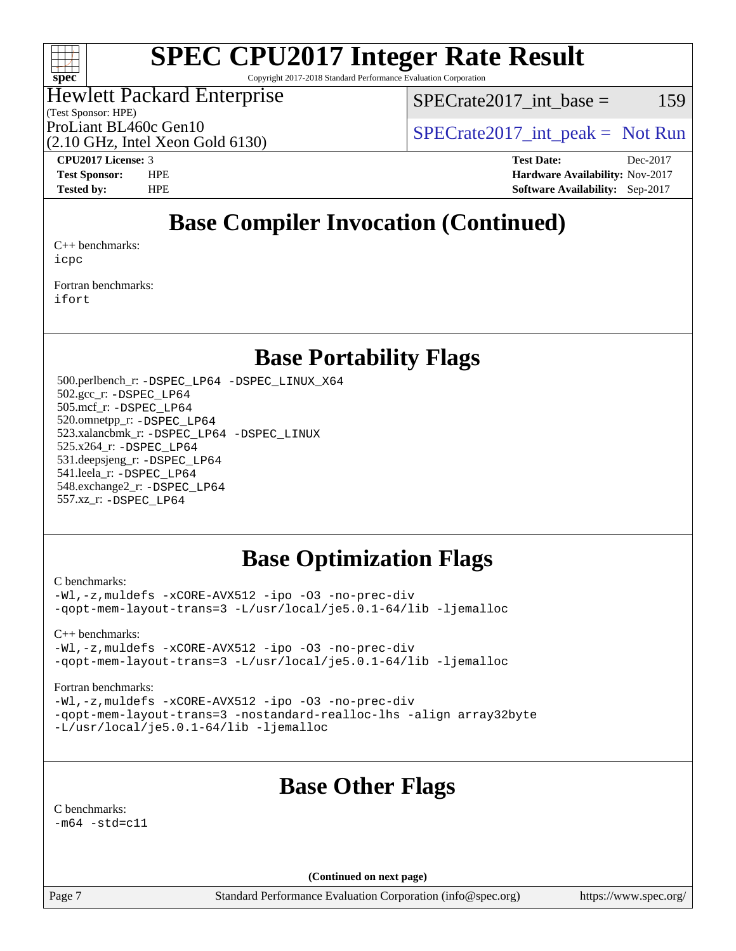

Copyright 2017-2018 Standard Performance Evaluation Corporation

### Hewlett Packard Enterprise

(Test Sponsor: HPE)

 $SPECrate2017\_int\_base = 159$ 

(2.10 GHz, Intel Xeon Gold 6130)

ProLiant BL460c Gen10  $SPECTA 61460$   $SPECTA 61300$   $SPECTA 61200$ 

**[CPU2017 License:](http://www.spec.org/auto/cpu2017/Docs/result-fields.html#CPU2017License)** 3 **[Test Date:](http://www.spec.org/auto/cpu2017/Docs/result-fields.html#TestDate)** Dec-2017 **[Test Sponsor:](http://www.spec.org/auto/cpu2017/Docs/result-fields.html#TestSponsor)** HPE **[Hardware Availability:](http://www.spec.org/auto/cpu2017/Docs/result-fields.html#HardwareAvailability)** Nov-2017 **[Tested by:](http://www.spec.org/auto/cpu2017/Docs/result-fields.html#Testedby)** HPE **[Software Availability:](http://www.spec.org/auto/cpu2017/Docs/result-fields.html#SoftwareAvailability)** Sep-2017

# **[Base Compiler Invocation \(Continued\)](http://www.spec.org/auto/cpu2017/Docs/result-fields.html#BaseCompilerInvocation)**

[C++ benchmarks:](http://www.spec.org/auto/cpu2017/Docs/result-fields.html#CXXbenchmarks) [icpc](http://www.spec.org/cpu2017/results/res2018q2/cpu2017-20171226-02285.flags.html#user_CXXbase_intel_icpc_18.0_c510b6838c7f56d33e37e94d029a35b4a7bccf4766a728ee175e80a419847e808290a9b78be685c44ab727ea267ec2f070ec5dc83b407c0218cded6866a35d07)

[Fortran benchmarks](http://www.spec.org/auto/cpu2017/Docs/result-fields.html#Fortranbenchmarks): [ifort](http://www.spec.org/cpu2017/results/res2018q2/cpu2017-20171226-02285.flags.html#user_FCbase_intel_ifort_18.0_8111460550e3ca792625aed983ce982f94888b8b503583aa7ba2b8303487b4d8a21a13e7191a45c5fd58ff318f48f9492884d4413fa793fd88dd292cad7027ca)

### **[Base Portability Flags](http://www.spec.org/auto/cpu2017/Docs/result-fields.html#BasePortabilityFlags)**

 500.perlbench\_r: [-DSPEC\\_LP64](http://www.spec.org/cpu2017/results/res2018q2/cpu2017-20171226-02285.flags.html#b500.perlbench_r_basePORTABILITY_DSPEC_LP64) [-DSPEC\\_LINUX\\_X64](http://www.spec.org/cpu2017/results/res2018q2/cpu2017-20171226-02285.flags.html#b500.perlbench_r_baseCPORTABILITY_DSPEC_LINUX_X64) 502.gcc\_r: [-DSPEC\\_LP64](http://www.spec.org/cpu2017/results/res2018q2/cpu2017-20171226-02285.flags.html#suite_basePORTABILITY502_gcc_r_DSPEC_LP64) 505.mcf\_r: [-DSPEC\\_LP64](http://www.spec.org/cpu2017/results/res2018q2/cpu2017-20171226-02285.flags.html#suite_basePORTABILITY505_mcf_r_DSPEC_LP64) 520.omnetpp\_r: [-DSPEC\\_LP64](http://www.spec.org/cpu2017/results/res2018q2/cpu2017-20171226-02285.flags.html#suite_basePORTABILITY520_omnetpp_r_DSPEC_LP64) 523.xalancbmk\_r: [-DSPEC\\_LP64](http://www.spec.org/cpu2017/results/res2018q2/cpu2017-20171226-02285.flags.html#suite_basePORTABILITY523_xalancbmk_r_DSPEC_LP64) [-DSPEC\\_LINUX](http://www.spec.org/cpu2017/results/res2018q2/cpu2017-20171226-02285.flags.html#b523.xalancbmk_r_baseCXXPORTABILITY_DSPEC_LINUX) 525.x264\_r: [-DSPEC\\_LP64](http://www.spec.org/cpu2017/results/res2018q2/cpu2017-20171226-02285.flags.html#suite_basePORTABILITY525_x264_r_DSPEC_LP64) 531.deepsjeng\_r: [-DSPEC\\_LP64](http://www.spec.org/cpu2017/results/res2018q2/cpu2017-20171226-02285.flags.html#suite_basePORTABILITY531_deepsjeng_r_DSPEC_LP64) 541.leela\_r: [-DSPEC\\_LP64](http://www.spec.org/cpu2017/results/res2018q2/cpu2017-20171226-02285.flags.html#suite_basePORTABILITY541_leela_r_DSPEC_LP64) 548.exchange2\_r: [-DSPEC\\_LP64](http://www.spec.org/cpu2017/results/res2018q2/cpu2017-20171226-02285.flags.html#suite_basePORTABILITY548_exchange2_r_DSPEC_LP64) 557.xz\_r: [-DSPEC\\_LP64](http://www.spec.org/cpu2017/results/res2018q2/cpu2017-20171226-02285.flags.html#suite_basePORTABILITY557_xz_r_DSPEC_LP64)

## **[Base Optimization Flags](http://www.spec.org/auto/cpu2017/Docs/result-fields.html#BaseOptimizationFlags)**

[C benchmarks](http://www.spec.org/auto/cpu2017/Docs/result-fields.html#Cbenchmarks):

[-Wl,-z,muldefs](http://www.spec.org/cpu2017/results/res2018q2/cpu2017-20171226-02285.flags.html#user_CCbase_link_force_multiple1_b4cbdb97b34bdee9ceefcfe54f4c8ea74255f0b02a4b23e853cdb0e18eb4525ac79b5a88067c842dd0ee6996c24547a27a4b99331201badda8798ef8a743f577) [-xCORE-AVX512](http://www.spec.org/cpu2017/results/res2018q2/cpu2017-20171226-02285.flags.html#user_CCbase_f-xCORE-AVX512) [-ipo](http://www.spec.org/cpu2017/results/res2018q2/cpu2017-20171226-02285.flags.html#user_CCbase_f-ipo) [-O3](http://www.spec.org/cpu2017/results/res2018q2/cpu2017-20171226-02285.flags.html#user_CCbase_f-O3) [-no-prec-div](http://www.spec.org/cpu2017/results/res2018q2/cpu2017-20171226-02285.flags.html#user_CCbase_f-no-prec-div) [-qopt-mem-layout-trans=3](http://www.spec.org/cpu2017/results/res2018q2/cpu2017-20171226-02285.flags.html#user_CCbase_f-qopt-mem-layout-trans_de80db37974c74b1f0e20d883f0b675c88c3b01e9d123adea9b28688d64333345fb62bc4a798493513fdb68f60282f9a726aa07f478b2f7113531aecce732043) [-L/usr/local/je5.0.1-64/lib](http://www.spec.org/cpu2017/results/res2018q2/cpu2017-20171226-02285.flags.html#user_CCbase_jemalloc_link_path64_4b10a636b7bce113509b17f3bd0d6226c5fb2346b9178c2d0232c14f04ab830f976640479e5c33dc2bcbbdad86ecfb6634cbbd4418746f06f368b512fced5394) [-ljemalloc](http://www.spec.org/cpu2017/results/res2018q2/cpu2017-20171226-02285.flags.html#user_CCbase_jemalloc_link_lib_d1249b907c500fa1c0672f44f562e3d0f79738ae9e3c4a9c376d49f265a04b9c99b167ecedbf6711b3085be911c67ff61f150a17b3472be731631ba4d0471706)

[C++ benchmarks:](http://www.spec.org/auto/cpu2017/Docs/result-fields.html#CXXbenchmarks) [-Wl,-z,muldefs](http://www.spec.org/cpu2017/results/res2018q2/cpu2017-20171226-02285.flags.html#user_CXXbase_link_force_multiple1_b4cbdb97b34bdee9ceefcfe54f4c8ea74255f0b02a4b23e853cdb0e18eb4525ac79b5a88067c842dd0ee6996c24547a27a4b99331201badda8798ef8a743f577) [-xCORE-AVX512](http://www.spec.org/cpu2017/results/res2018q2/cpu2017-20171226-02285.flags.html#user_CXXbase_f-xCORE-AVX512) [-ipo](http://www.spec.org/cpu2017/results/res2018q2/cpu2017-20171226-02285.flags.html#user_CXXbase_f-ipo) [-O3](http://www.spec.org/cpu2017/results/res2018q2/cpu2017-20171226-02285.flags.html#user_CXXbase_f-O3) [-no-prec-div](http://www.spec.org/cpu2017/results/res2018q2/cpu2017-20171226-02285.flags.html#user_CXXbase_f-no-prec-div) [-qopt-mem-layout-trans=3](http://www.spec.org/cpu2017/results/res2018q2/cpu2017-20171226-02285.flags.html#user_CXXbase_f-qopt-mem-layout-trans_de80db37974c74b1f0e20d883f0b675c88c3b01e9d123adea9b28688d64333345fb62bc4a798493513fdb68f60282f9a726aa07f478b2f7113531aecce732043) [-L/usr/local/je5.0.1-64/lib](http://www.spec.org/cpu2017/results/res2018q2/cpu2017-20171226-02285.flags.html#user_CXXbase_jemalloc_link_path64_4b10a636b7bce113509b17f3bd0d6226c5fb2346b9178c2d0232c14f04ab830f976640479e5c33dc2bcbbdad86ecfb6634cbbd4418746f06f368b512fced5394) [-ljemalloc](http://www.spec.org/cpu2017/results/res2018q2/cpu2017-20171226-02285.flags.html#user_CXXbase_jemalloc_link_lib_d1249b907c500fa1c0672f44f562e3d0f79738ae9e3c4a9c376d49f265a04b9c99b167ecedbf6711b3085be911c67ff61f150a17b3472be731631ba4d0471706)

#### [Fortran benchmarks](http://www.spec.org/auto/cpu2017/Docs/result-fields.html#Fortranbenchmarks):

[-Wl,-z,muldefs](http://www.spec.org/cpu2017/results/res2018q2/cpu2017-20171226-02285.flags.html#user_FCbase_link_force_multiple1_b4cbdb97b34bdee9ceefcfe54f4c8ea74255f0b02a4b23e853cdb0e18eb4525ac79b5a88067c842dd0ee6996c24547a27a4b99331201badda8798ef8a743f577) [-xCORE-AVX512](http://www.spec.org/cpu2017/results/res2018q2/cpu2017-20171226-02285.flags.html#user_FCbase_f-xCORE-AVX512) [-ipo](http://www.spec.org/cpu2017/results/res2018q2/cpu2017-20171226-02285.flags.html#user_FCbase_f-ipo) [-O3](http://www.spec.org/cpu2017/results/res2018q2/cpu2017-20171226-02285.flags.html#user_FCbase_f-O3) [-no-prec-div](http://www.spec.org/cpu2017/results/res2018q2/cpu2017-20171226-02285.flags.html#user_FCbase_f-no-prec-div) [-qopt-mem-layout-trans=3](http://www.spec.org/cpu2017/results/res2018q2/cpu2017-20171226-02285.flags.html#user_FCbase_f-qopt-mem-layout-trans_de80db37974c74b1f0e20d883f0b675c88c3b01e9d123adea9b28688d64333345fb62bc4a798493513fdb68f60282f9a726aa07f478b2f7113531aecce732043) [-nostandard-realloc-lhs](http://www.spec.org/cpu2017/results/res2018q2/cpu2017-20171226-02285.flags.html#user_FCbase_f_2003_std_realloc_82b4557e90729c0f113870c07e44d33d6f5a304b4f63d4c15d2d0f1fab99f5daaed73bdb9275d9ae411527f28b936061aa8b9c8f2d63842963b95c9dd6426b8a) [-align array32byte](http://www.spec.org/cpu2017/results/res2018q2/cpu2017-20171226-02285.flags.html#user_FCbase_align_array32byte_b982fe038af199962ba9a80c053b8342c548c85b40b8e86eb3cc33dee0d7986a4af373ac2d51c3f7cf710a18d62fdce2948f201cd044323541f22fc0fffc51b6) [-L/usr/local/je5.0.1-64/lib](http://www.spec.org/cpu2017/results/res2018q2/cpu2017-20171226-02285.flags.html#user_FCbase_jemalloc_link_path64_4b10a636b7bce113509b17f3bd0d6226c5fb2346b9178c2d0232c14f04ab830f976640479e5c33dc2bcbbdad86ecfb6634cbbd4418746f06f368b512fced5394) [-ljemalloc](http://www.spec.org/cpu2017/results/res2018q2/cpu2017-20171226-02285.flags.html#user_FCbase_jemalloc_link_lib_d1249b907c500fa1c0672f44f562e3d0f79738ae9e3c4a9c376d49f265a04b9c99b167ecedbf6711b3085be911c67ff61f150a17b3472be731631ba4d0471706)

## **[Base Other Flags](http://www.spec.org/auto/cpu2017/Docs/result-fields.html#BaseOtherFlags)**

[C benchmarks](http://www.spec.org/auto/cpu2017/Docs/result-fields.html#Cbenchmarks):

 $-m64$   $-std=cl1$ 

**(Continued on next page)**

Page 7 Standard Performance Evaluation Corporation [\(info@spec.org\)](mailto:info@spec.org) <https://www.spec.org/>